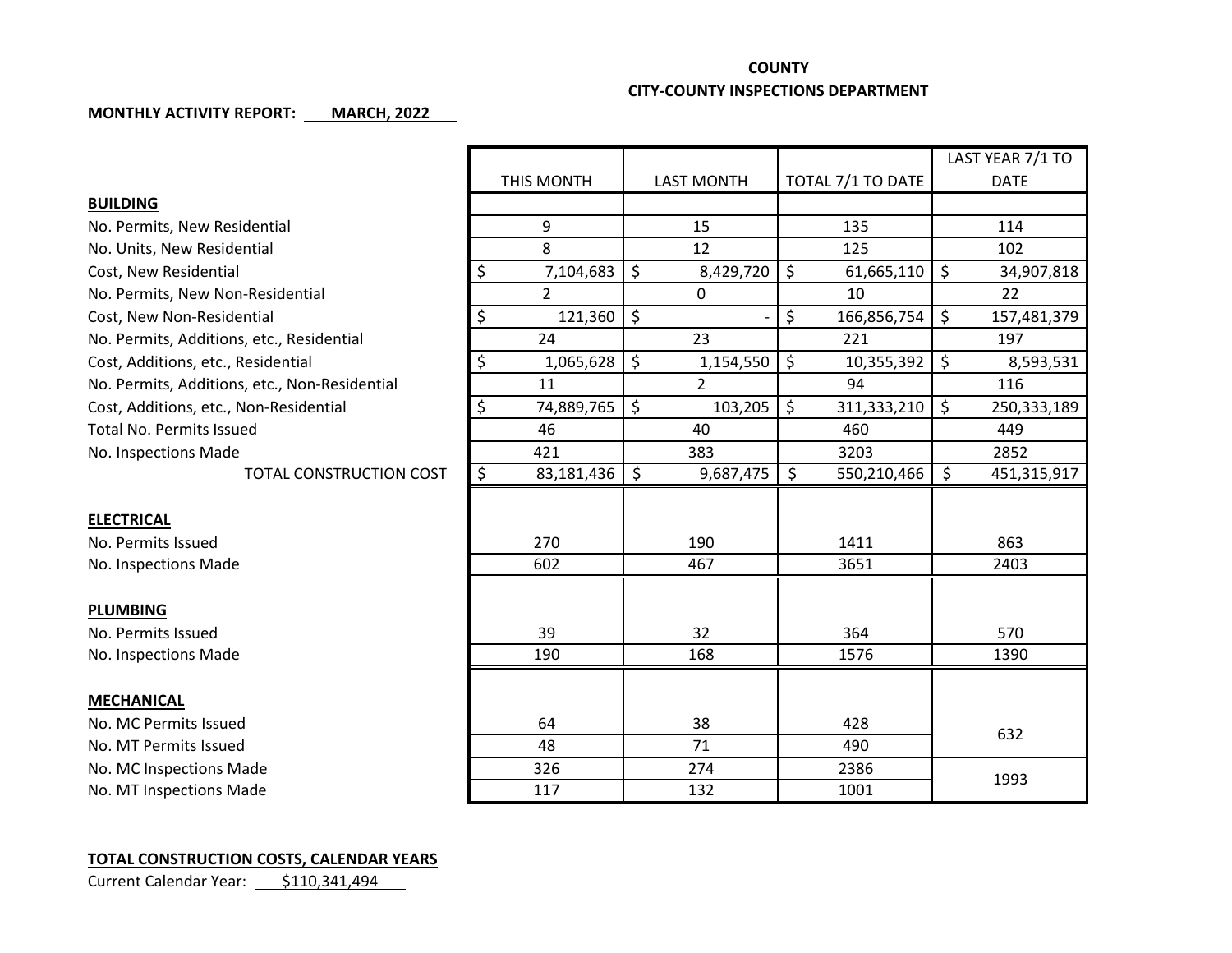## **COUNTY**

## **CITY-COUNTY INSPECTIONS DEPARTMENT**

## **MONTHLY ACTIVITY REPORT: MARCH, 2022**

|                                               |                  |                                |                   | LAST YEAR 7/1 TO       |
|-----------------------------------------------|------------------|--------------------------------|-------------------|------------------------|
|                                               | THIS MONTH       | <b>LAST MONTH</b>              | TOTAL 7/1 TO DATE | <b>DATE</b>            |
| <b>BUILDING</b>                               |                  |                                |                   |                        |
| No. Permits, New Residential                  | 9                | 15                             | 135               | 114                    |
| No. Units, New Residential                    | 8                | 12                             | 125               | 102                    |
| Cost, New Residential                         | \$<br>7,104,683  | $\zeta$<br>8,429,720           | \$<br>61,665,110  | \$<br>34,907,818       |
| No. Permits, New Non-Residential              | $\overline{2}$   | $\Omega$                       | 10                | 22                     |
| Cost, New Non-Residential                     | \$<br>121,360    | $\ddot{\varsigma}$             | \$<br>166,856,754 | \$<br>157,481,379      |
| No. Permits, Additions, etc., Residential     | 24               | 23                             | 221               | 197                    |
| Cost, Additions, etc., Residential            | \$<br>1,065,628  | \$<br>1,154,550                | \$<br>10,355,392  | \$<br>8,593,531        |
| No. Permits, Additions, etc., Non-Residential | 11               | $\overline{2}$                 | 94                | 116                    |
| Cost, Additions, etc., Non-Residential        | \$<br>74,889,765 | $\ddot{\mathsf{S}}$<br>103,205 | \$<br>311,333,210 | $\zeta$<br>250,333,189 |
| <b>Total No. Permits Issued</b>               | 46               | 40                             | 460               | 449                    |
| No. Inspections Made                          | 421              | 383                            | 3203              | 2852                   |
| TOTAL CONSTRUCTION COST                       | \$<br>83,181,436 | l \$<br>9,687,475              | \$<br>550,210,466 | \$<br>451,315,917      |
|                                               |                  |                                |                   |                        |
| <b>ELECTRICAL</b>                             |                  |                                |                   |                        |
| No. Permits Issued                            | 270              | 190                            | 1411              | 863                    |
| No. Inspections Made                          | 602              | 467                            | 3651              | 2403                   |
|                                               |                  |                                |                   |                        |
| <b>PLUMBING</b>                               |                  |                                |                   |                        |
| No. Permits Issued                            | 39               | 32                             | 364               | 570                    |
| No. Inspections Made                          | 190              | 168                            | 1576              | 1390                   |
|                                               |                  |                                |                   |                        |
| <b>MECHANICAL</b>                             |                  |                                |                   |                        |
| No. MC Permits Issued                         | 64               | 38                             | 428               | 632                    |
| No. MT Permits Issued                         | 48               | 71                             | 490               |                        |
| No. MC Inspections Made                       | 326              | 274                            | 2386              | 1993                   |
| No. MT Inspections Made                       | 117              | 132                            | 1001              |                        |

## **TOTAL CONSTRUCTION COSTS, CALENDAR YEARS**

Current Calendar Year: \$110,341,494